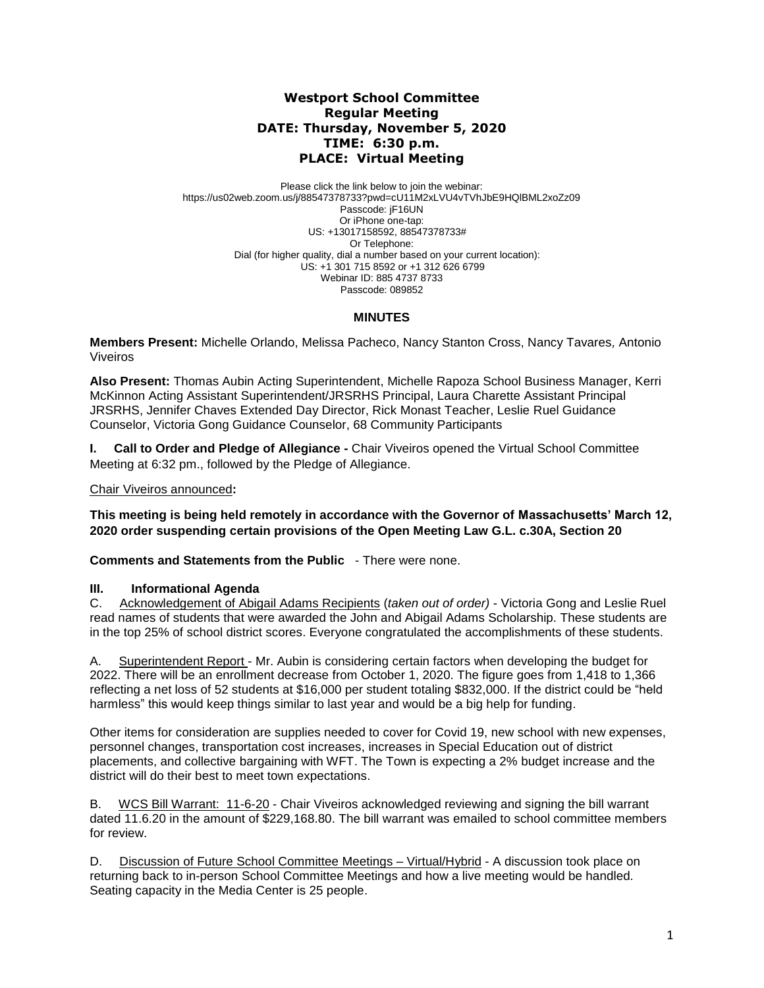## **Westport School Committee Regular Meeting DATE: Thursday, November 5, 2020 TIME: 6:30 p.m. PLACE: Virtual Meeting**

Please click the link below to join the webinar: https://us02web.zoom.us/j/88547378733?pwd=cU11M2xLVU4vTVhJbE9HQlBML2xoZz09 Passcode: jF16UN Or iPhone one-tap: US: +13017158592, 88547378733# Or Telephone: Dial (for higher quality, dial a number based on your current location): US: +1 301 715 8592 or +1 312 626 6799 Webinar ID: 885 4737 8733 Passcode: 089852

#### **MINUTES**

**Members Present:** Michelle Orlando, Melissa Pacheco, Nancy Stanton Cross, Nancy Tavares*,* Antonio Viveiros

**Also Present:** Thomas Aubin Acting Superintendent, Michelle Rapoza School Business Manager, Kerri McKinnon Acting Assistant Superintendent/JRSRHS Principal, Laura Charette Assistant Principal JRSRHS, Jennifer Chaves Extended Day Director, Rick Monast Teacher, Leslie Ruel Guidance Counselor, Victoria Gong Guidance Counselor, 68 Community Participants

**I. Call to Order and Pledge of Allegiance -** Chair Viveiros opened the Virtual School Committee Meeting at 6:32 pm., followed by the Pledge of Allegiance.

Chair Viveiros announced**:** 

**This meeting is being held remotely in accordance with the Governor of Massachusetts' March 12, 2020 order suspending certain provisions of the Open Meeting Law G.L. c.30A, Section 20**

**Comments and Statements from the Public** - There were none.

#### **III. Informational Agenda**

C. Acknowledgement of Abigail Adams Recipients (*taken out of order)* - Victoria Gong and Leslie Ruel read names of students that were awarded the John and Abigail Adams Scholarship. These students are in the top 25% of school district scores. Everyone congratulated the accomplishments of these students.

A. Superintendent Report - Mr. Aubin is considering certain factors when developing the budget for 2022. There will be an enrollment decrease from October 1, 2020. The figure goes from 1,418 to 1,366 reflecting a net loss of 52 students at \$16,000 per student totaling \$832,000. If the district could be "held harmless" this would keep things similar to last year and would be a big help for funding.

Other items for consideration are supplies needed to cover for Covid 19, new school with new expenses, personnel changes, transportation cost increases, increases in Special Education out of district placements, and collective bargaining with WFT. The Town is expecting a 2% budget increase and the district will do their best to meet town expectations.

B. WCS Bill Warrant: 11-6-20 - Chair Viveiros acknowledged reviewing and signing the bill warrant dated 11.6.20 in the amount of \$229,168.80. The bill warrant was emailed to school committee members for review.

D. Discussion of Future School Committee Meetings – Virtual/Hybrid - A discussion took place on returning back to in-person School Committee Meetings and how a live meeting would be handled. Seating capacity in the Media Center is 25 people.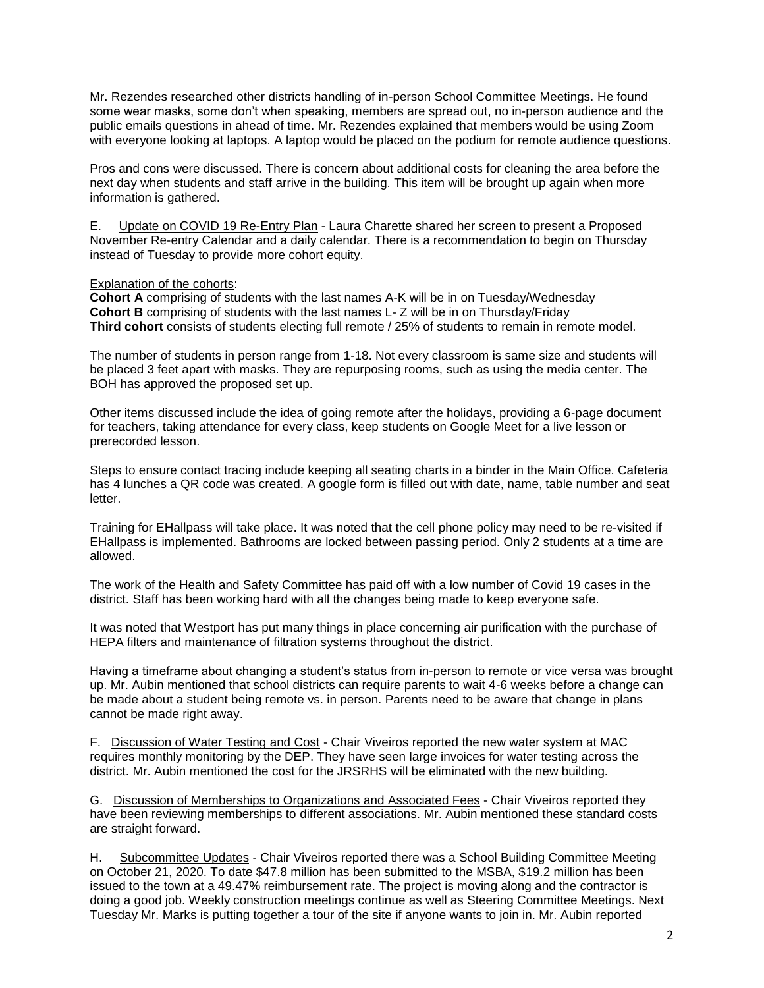Mr. Rezendes researched other districts handling of in-person School Committee Meetings. He found some wear masks, some don't when speaking, members are spread out, no in-person audience and the public emails questions in ahead of time. Mr. Rezendes explained that members would be using Zoom with everyone looking at laptops. A laptop would be placed on the podium for remote audience questions.

Pros and cons were discussed. There is concern about additional costs for cleaning the area before the next day when students and staff arrive in the building. This item will be brought up again when more information is gathered.

E. Update on COVID 19 Re-Entry Plan - Laura Charette shared her screen to present a Proposed November Re-entry Calendar and a daily calendar. There is a recommendation to begin on Thursday instead of Tuesday to provide more cohort equity.

Explanation of the cohorts:

**Cohort A** comprising of students with the last names A-K will be in on Tuesday/Wednesday **Cohort B** comprising of students with the last names L- Z will be in on Thursday/Friday **Third cohort** consists of students electing full remote / 25% of students to remain in remote model.

The number of students in person range from 1-18. Not every classroom is same size and students will be placed 3 feet apart with masks. They are repurposing rooms, such as using the media center. The BOH has approved the proposed set up.

Other items discussed include the idea of going remote after the holidays, providing a 6-page document for teachers, taking attendance for every class, keep students on Google Meet for a live lesson or prerecorded lesson.

Steps to ensure contact tracing include keeping all seating charts in a binder in the Main Office. Cafeteria has 4 lunches a QR code was created. A google form is filled out with date, name, table number and seat letter.

Training for EHallpass will take place. It was noted that the cell phone policy may need to be re-visited if EHallpass is implemented. Bathrooms are locked between passing period. Only 2 students at a time are allowed.

The work of the Health and Safety Committee has paid off with a low number of Covid 19 cases in the district. Staff has been working hard with all the changes being made to keep everyone safe.

It was noted that Westport has put many things in place concerning air purification with the purchase of HEPA filters and maintenance of filtration systems throughout the district.

Having a timeframe about changing a student's status from in-person to remote or vice versa was brought up. Mr. Aubin mentioned that school districts can require parents to wait 4-6 weeks before a change can be made about a student being remote vs. in person. Parents need to be aware that change in plans cannot be made right away.

F. Discussion of Water Testing and Cost - Chair Viveiros reported the new water system at MAC requires monthly monitoring by the DEP. They have seen large invoices for water testing across the district. Mr. Aubin mentioned the cost for the JRSRHS will be eliminated with the new building.

G. Discussion of Memberships to Organizations and Associated Fees - Chair Viveiros reported they have been reviewing memberships to different associations. Mr. Aubin mentioned these standard costs are straight forward.

H. Subcommittee Updates - Chair Viveiros reported there was a School Building Committee Meeting on October 21, 2020. To date \$47.8 million has been submitted to the MSBA, \$19.2 million has been issued to the town at a 49.47% reimbursement rate. The project is moving along and the contractor is doing a good job. Weekly construction meetings continue as well as Steering Committee Meetings. Next Tuesday Mr. Marks is putting together a tour of the site if anyone wants to join in. Mr. Aubin reported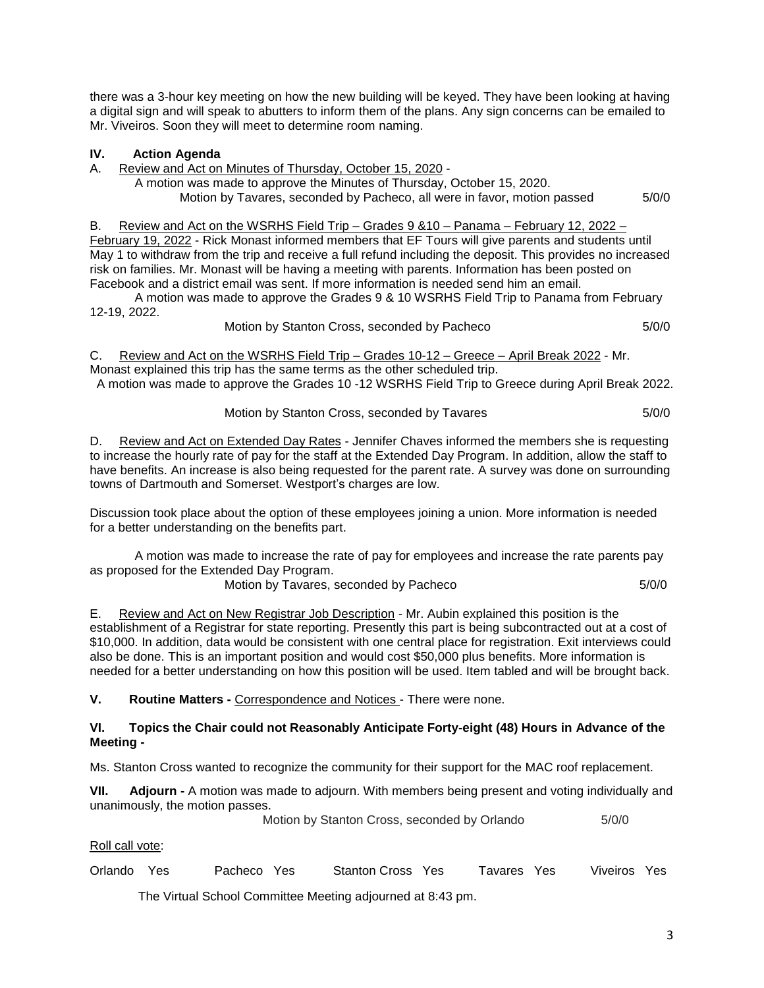there was a 3-hour key meeting on how the new building will be keyed. They have been looking at having a digital sign and will speak to abutters to inform them of the plans. Any sign concerns can be emailed to Mr. Viveiros. Soon they will meet to determine room naming.

## **IV. Action Agenda**

A. Review and Act on Minutes of Thursday, October 15, 2020 -

A motion was made to approve the Minutes of Thursday, October 15, 2020.

Motion by Tavares, seconded by Pacheco, all were in favor, motion passed 5/0/0

# B. Review and Act on the WSRHS Field Trip – Grades 9 &10 – Panama – February 12, 2022 –

February 19, 2022 - Rick Monast informed members that EF Tours will give parents and students until May 1 to withdraw from the trip and receive a full refund including the deposit. This provides no increased risk on families. Mr. Monast will be having a meeting with parents. Information has been posted on Facebook and a district email was sent. If more information is needed send him an email.

A motion was made to approve the Grades 9 & 10 WSRHS Field Trip to Panama from February 12-19, 2022.

Motion by Stanton Cross, seconded by Pacheco 6/0/0

C. Review and Act on the WSRHS Field Trip – Grades 10-12 – Greece – April Break 2022 - Mr.

Monast explained this trip has the same terms as the other scheduled trip.

A motion was made to approve the Grades 10 -12 WSRHS Field Trip to Greece during April Break 2022.

Motion by Stanton Cross, seconded by Tavares 6/0/0

D. Review and Act on Extended Day Rates - Jennifer Chaves informed the members she is requesting to increase the hourly rate of pay for the staff at the Extended Day Program. In addition, allow the staff to have benefits. An increase is also being requested for the parent rate. A survey was done on surrounding towns of Dartmouth and Somerset. Westport's charges are low.

Discussion took place about the option of these employees joining a union. More information is needed for a better understanding on the benefits part.

A motion was made to increase the rate of pay for employees and increase the rate parents pay as proposed for the Extended Day Program.

Motion by Tavares, seconded by Pacheco 5/0/0

E. Review and Act on New Registrar Job Description - Mr. Aubin explained this position is the establishment of a Registrar for state reporting. Presently this part is being subcontracted out at a cost of \$10,000. In addition, data would be consistent with one central place for registration. Exit interviews could also be done. This is an important position and would cost \$50,000 plus benefits. More information is needed for a better understanding on how this position will be used. Item tabled and will be brought back.

**V. Routine Matters -** Correspondence and Notices - There were none.

## **VI. Topics the Chair could not Reasonably Anticipate Forty-eight (48) Hours in Advance of the Meeting -**

Ms. Stanton Cross wanted to recognize the community for their support for the MAC roof replacement.

**VII. Adjourn -** A motion was made to adjourn. With members being present and voting individually and unanimously, the motion passes.

**Motion by Stanton Cross, seconded by Orlando 5/0/0** 

Roll call vote:

Orlando Yes Pacheco Yes Stanton Cross Yes Tavares Yes Viveiros Yes

The Virtual School Committee Meeting adjourned at 8:43 pm.